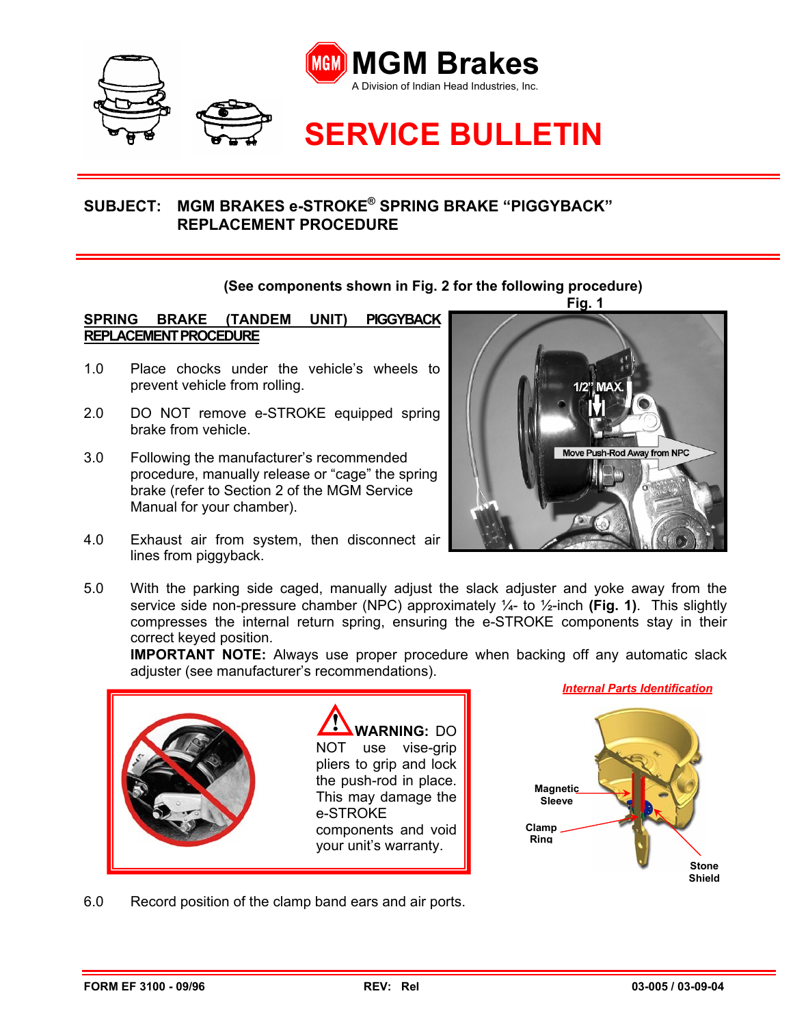

## **SUBJECT: MGM BRAKES e-STROKE® SPRING BRAKE "PIGGYBACK" REPLACEMENT PROCEDURE**

## **(See components shown in Fig. 2 for the following procedure)**

**SPRING BRAKE (TANDEM UNIT) PIGGYBACK REPLACEMENT PROCEDURE**

- 1.0 Place chocks under the vehicle's wheels to prevent vehicle from rolling.
- 2.0 DO NOT remove e-STROKE equipped spring brake from vehicle.
- 3.0 Following the manufacturer's recommended procedure, manually release or "cage" the spring brake (refer to Section 2 of the MGM Service Manual for your chamber).
- 4.0 Exhaust air from system, then disconnect air lines from piggyback.



5.0 With the parking side caged, manually adjust the slack adjuster and yoke away from the service side non-pressure chamber (NPC) approximately ¼- to ½-inch **(Fig. 1)**. This slightly compresses the internal return spring, ensuring the e-STROKE components stay in their correct keyed position.

**IMPORTANT NOTE:** Always use proper procedure when backing off any automatic slack adjuster (see manufacturer's recommendations).





6.0 Record position of the clamp band ears and air ports.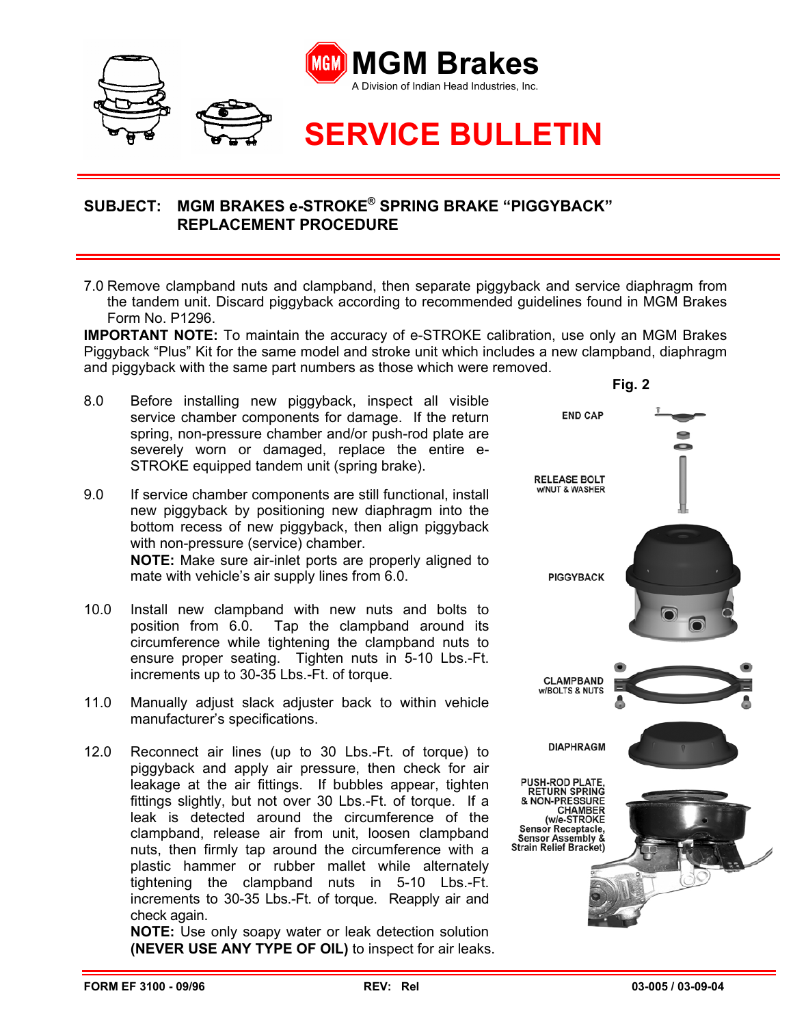

## **SUBJECT: MGM BRAKES e-STROKE® SPRING BRAKE "PIGGYBACK" REPLACEMENT PROCEDURE**

7.0 Remove clampband nuts and clampband, then separate piggyback and service diaphragm from the tandem unit. Discard piggyback according to recommended guidelines found in MGM Brakes Form No. P1296.

**IMPORTANT NOTE:** To maintain the accuracy of e-STROKE calibration, use only an MGM Brakes Piggyback "Plus" Kit for the same model and stroke unit which includes a new clampband, diaphragm and piggyback with the same part numbers as those which were removed.

- 8.0 Before installing new piggyback, inspect all visible service chamber components for damage. If the return spring, non-pressure chamber and/or push-rod plate are severely worn or damaged, replace the entire e-STROKE equipped tandem unit (spring brake).
- 9.0 If service chamber components are still functional, install new piggyback by positioning new diaphragm into the bottom recess of new piggyback, then align piggyback with non-pressure (service) chamber. **NOTE:** Make sure air-inlet ports are properly aligned to mate with vehicle's air supply lines from 6.0.
- 10.0 Install new clampband with new nuts and bolts to position from 6.0. Tap the clampband around its circumference while tightening the clampband nuts to ensure proper seating. Tighten nuts in 5-10 Lbs.-Ft. increments up to 30-35 Lbs.-Ft. of torque.
- 11.0 Manually adjust slack adjuster back to within vehicle manufacturer's specifications.
- 12.0 Reconnect air lines (up to 30 Lbs.-Ft. of torque) to piggyback and apply air pressure, then check for air leakage at the air fittings. If bubbles appear, tighten fittings slightly, but not over 30 Lbs.-Ft. of torque. If a leak is detected around the circumference of the clampband, release air from unit, loosen clampband nuts, then firmly tap around the circumference with a plastic hammer or rubber mallet while alternately tightening the clampband nuts in 5-10 Lbs.-Ft. increments to 30-35 Lbs.-Ft. of torque. Reapply air and check again.

**NOTE:** Use only soapy water or leak detection solution **(NEVER USE ANY TYPE OF OIL)** to inspect for air leaks.